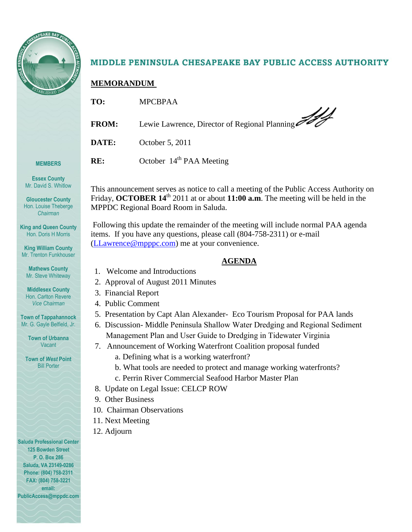

# MIDDLE PENINSULA CHESAPEAKE BAY PUBLIC ACCESS AUTHORITY

## **MEMORANDUM**

| TO:          | <b>MPCBPAA</b>                                |
|--------------|-----------------------------------------------|
| <b>FROM:</b> | Lewie Lawrence, Director of Regional Planning |
| DATE:        | October 5, 2011                               |
| RE:          | October 14 <sup>th</sup> PAA Meeting          |

**Essex County** Mr. David S. Whitlow

**MEMBERS**

**Gloucester County** Hon. Louise Theberge *Chairman*

**King and Queen County** Hon. Doris H Morris

**King William County** Mr. Trenton Funkhouser

**Mathews County** Mr. Steve Whiteway

**Middlesex County** Hon. Carlton Revere *Vice Chairman*

**Town of Tappahannock** Mr. G. Gayle Belfield, Jr.

> **Town of Urbanna** Vacant

**Town of** *West* **Point** Bill Porter

**Saluda Professional Center 125 Bowden Street P. O. Box 286 Saluda, VA 23149-0286 Phone: (804) 758-2311 FAX: (804) 758-3221 email: PublicAccess@mppdc.com** 

## items. If you have any questions, please call (804-758-2311) or e-mail [\(LLawrence@mpppc.com\)](mailto:LLawrence@mpppc.com) me at your convenience.

**AGENDA**

This announcement serves as notice to call a meeting of the Public Access Authority on Friday, **OCTOBER 14<sup>th</sup>** 2011 at or about **11:00 a.m**. The meeting will be held in the

Following this update the remainder of the meeting will include normal PAA agenda

- 1. Welcome and Introductions
- 2. Approval of August 2011 Minutes

MPPDC Regional Board Room in Saluda.

- 3. Financial Report
- 4. Public Comment
- 5. Presentation by Capt Alan Alexander- Eco Tourism Proposal for PAA lands
- 6. Discussion- Middle Peninsula Shallow Water Dredging and Regional Sediment Management Plan and User Guide to Dredging in Tidewater Virginia
- 7. Announcement of Working Waterfront Coalition proposal funded
	- a. Defining what is a working waterfront?
	- b. What tools are needed to protect and manage working waterfronts?
	- c. Perrin River Commercial Seafood Harbor Master Plan
- 8. Update on Legal Issue: CELCP ROW
- 9. Other Business
- 10. Chairman Observations
- 11. Next Meeting
- 12. Adjourn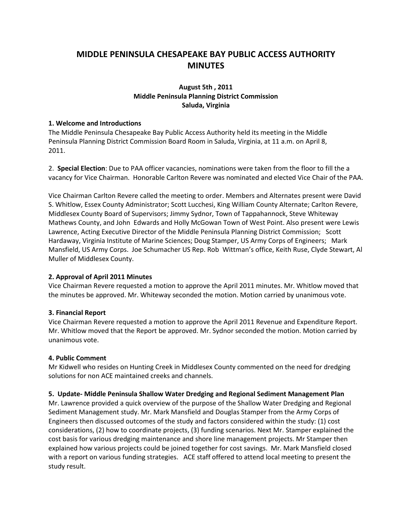# **MIDDLE PENINSULA CHESAPEAKE BAY PUBLIC ACCESS AUTHORITY MINUTES**

## **August 5th , 2011 Middle Peninsula Planning District Commission Saluda, Virginia**

#### **1. Welcome and Introductions**

The Middle Peninsula Chesapeake Bay Public Access Authority held its meeting in the Middle Peninsula Planning District Commission Board Room in Saluda, Virginia, at 11 a.m. on April 8, 2011.

2. **Special Election**: Due to PAA officer vacancies, nominations were taken from the floor to fill the a vacancy for Vice Chairman. Honorable Carlton Revere was nominated and elected Vice Chair of the PAA.

Vice Chairman Carlton Revere called the meeting to order. Members and Alternates present were David S. Whitlow, Essex County Administrator; Scott Lucchesi, King William County Alternate; Carlton Revere, Middlesex County Board of Supervisors; Jimmy Sydnor, Town of Tappahannock, Steve Whiteway Mathews County, and John Edwards and Holly McGowan Town of West Point. Also present were Lewis Lawrence, Acting Executive Director of the Middle Peninsula Planning District Commission; Scott Hardaway, Virginia Institute of Marine Sciences; Doug Stamper, US Army Corps of Engineers; Mark Mansfield, US Army Corps. Joe Schumacher US Rep. Rob Wittman's office, Keith Ruse, Clyde Stewart, Al Muller of Middlesex County.

### **2. Approval of April 2011 Minutes**

Vice Chairman Revere requested a motion to approve the April 2011 minutes. Mr. Whitlow moved that the minutes be approved. Mr. Whiteway seconded the motion. Motion carried by unanimous vote.

### **3. Financial Report**

Vice Chairman Revere requested a motion to approve the April 2011 Revenue and Expenditure Report. Mr. Whitlow moved that the Report be approved. Mr. Sydnor seconded the motion. Motion carried by unanimous vote.

#### **4. Public Comment**

Mr Kidwell who resides on Hunting Creek in Middlesex County commented on the need for dredging solutions for non ACE maintained creeks and channels.

#### **5. Update- Middle Peninsula Shallow Water Dredging and Regional Sediment Management Plan**

Mr. Lawrence provided a quick overview of the purpose of the Shallow Water Dredging and Regional Sediment Management study. Mr. Mark Mansfield and Douglas Stamper from the Army Corps of Engineers then discussed outcomes of the study and factors considered within the study: (1) cost considerations, (2) how to coordinate projects, (3) funding scenarios. Next Mr. Stamper explained the cost basis for various dredging maintenance and shore line management projects. Mr Stamper then explained how various projects could be joined together for cost savings. Mr. Mark Mansfield closed with a report on various funding strategies. ACE staff offered to attend local meeting to present the study result.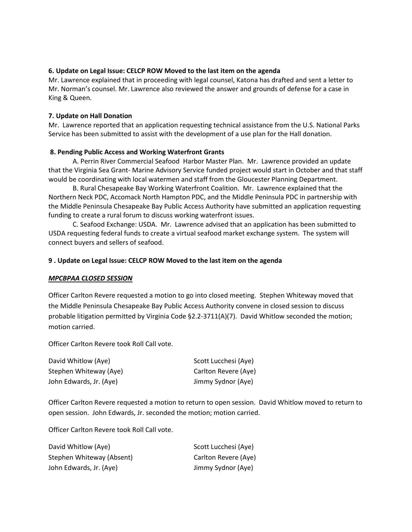### **6. Update on Legal Issue: CELCP ROW Moved to the last item on the agenda**

Mr. Lawrence explained that in proceeding with legal counsel, Katona has drafted and sent a letter to Mr. Norman's counsel. Mr. Lawrence also reviewed the answer and grounds of defense for a case in King & Queen.

#### **7. Update on Hall Donation**

Mr. Lawrence reported that an application requesting technical assistance from the U.S. National Parks Service has been submitted to assist with the development of a use plan for the Hall donation.

#### **8. Pending Public Access and Working Waterfront Grants**

A. Perrin River Commercial Seafood Harbor Master Plan. Mr. Lawrence provided an update that the Virginia Sea Grant- Marine Advisory Service funded project would start in October and that staff would be coordinating with local watermen and staff from the Gloucester Planning Department.

B. Rural Chesapeake Bay Working Waterfront Coalition. Mr. Lawrence explained that the Northern Neck PDC, Accomack North Hampton PDC, and the Middle Peninsula PDC in partnership with the Middle Peninsula Chesapeake Bay Public Access Authority have submitted an application requesting funding to create a rural forum to discuss working waterfront issues.

C. Seafood Exchange: USDA. Mr. Lawrence advised that an application has been submitted to USDA requesting federal funds to create a virtual seafood market exchange system. The system will connect buyers and sellers of seafood.

#### **9 . Update on Legal Issue: CELCP ROW Moved to the last item on the agenda**

#### *MPCBPAA CLOSED SESSION*

Officer Carlton Revere requested a motion to go into closed meeting. Stephen Whiteway moved that the Middle Peninsula Chesapeake Bay Public Access Authority convene in closed session to discuss probable litigation permitted by Virginia Code §2.2-3711(A)(7). David Whitlow seconded the motion; motion carried.

Officer Carlton Revere took Roll Call vote.

| David Whitlow (Aye)     | Scott Lucchesi (Aye) |
|-------------------------|----------------------|
| Stephen Whiteway (Aye)  | Carlton Revere (Aye) |
| John Edwards, Jr. (Aye) | Jimmy Sydnor (Aye)   |

Officer Carlton Revere requested a motion to return to open session. David Whitlow moved to return to open session. John Edwards, Jr. seconded the motion; motion carried.

Officer Carlton Revere took Roll Call vote.

| David Whitlow (Aye)       | Scott Lucchesi (Aye) |
|---------------------------|----------------------|
| Stephen Whiteway (Absent) | Carlton Revere (Aye) |
| John Edwards, Jr. (Aye)   | Jimmy Sydnor (Aye)   |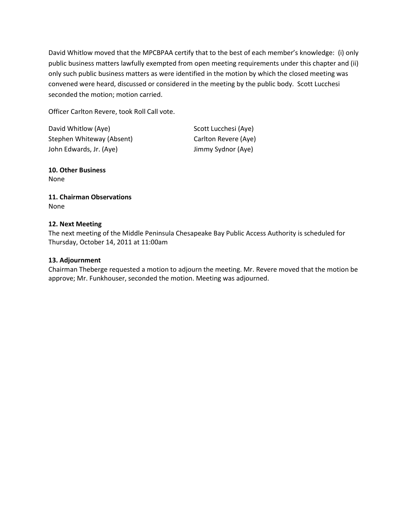David Whitlow moved that the MPCBPAA certify that to the best of each member's knowledge: (i) only public business matters lawfully exempted from open meeting requirements under this chapter and (ii) only such public business matters as were identified in the motion by which the closed meeting was convened were heard, discussed or considered in the meeting by the public body. Scott Lucchesi seconded the motion; motion carried.

Officer Carlton Revere, took Roll Call vote.

| David Whitlow (Aye)       | Scott Lucchesi (Aye) |
|---------------------------|----------------------|
| Stephen Whiteway (Absent) | Carlton Revere (Aye) |
| John Edwards, Jr. (Aye)   | Jimmy Sydnor (Aye)   |

**10. Other Business** None

## **11. Chairman Observations** None

## **12. Next Meeting**

The next meeting of the Middle Peninsula Chesapeake Bay Public Access Authority is scheduled for Thursday, October 14, 2011 at 11:00am

## **13. Adjournment**

Chairman Theberge requested a motion to adjourn the meeting. Mr. Revere moved that the motion be approve; Mr. Funkhouser, seconded the motion. Meeting was adjourned.